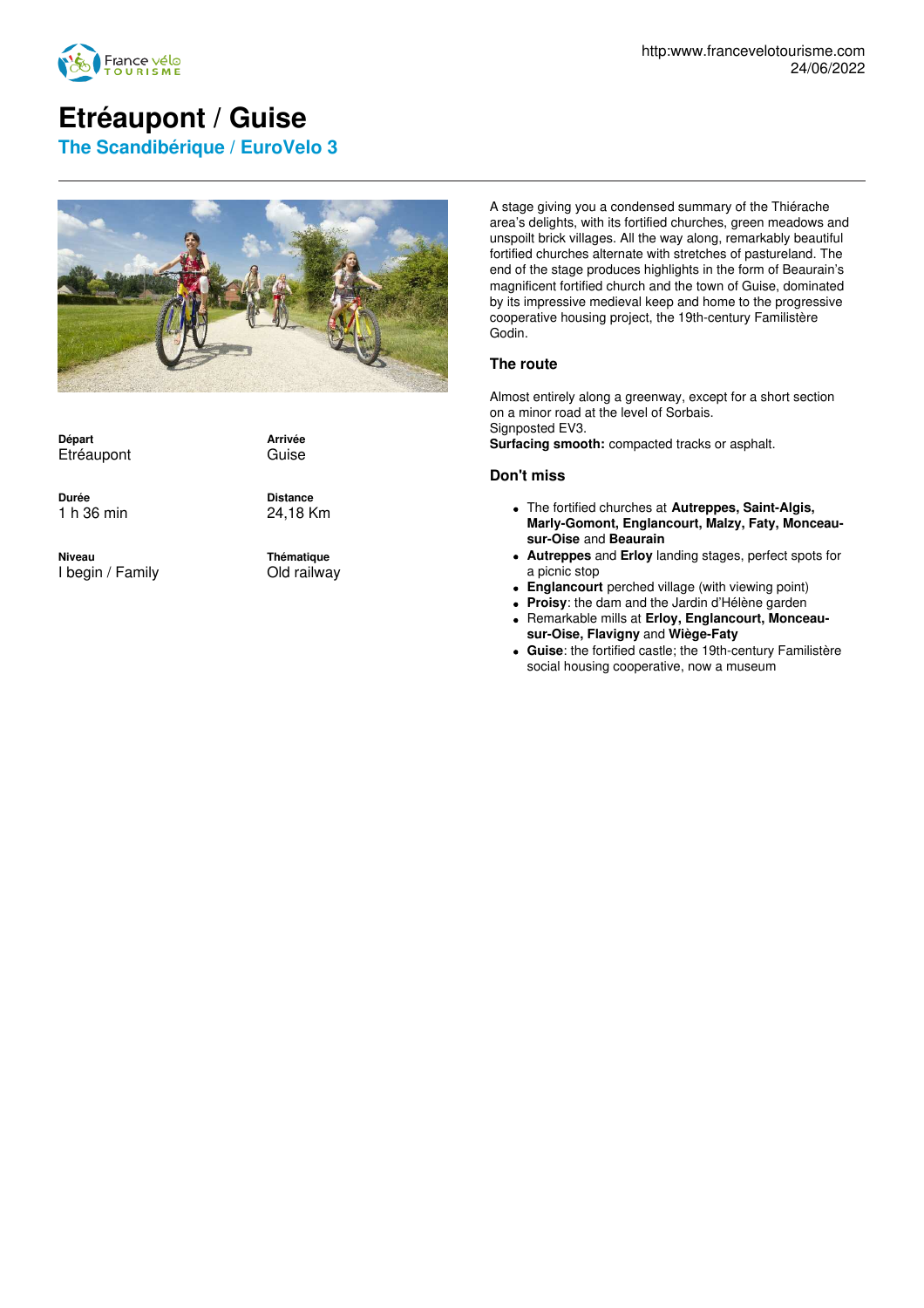

## **Etréaupont / Guise**

**The Scandibérique / EuroVelo 3**



**Départ** Etréaupont

**Durée** 1 h 36 min

**Niveau** I begin / Family **Distance** 24,18 Km

**Arrivée** Guise

**Thématique** Old railway

A stage giving you a condensed summary of the Thiérache area's delights, with its fortified churches, green meadows and unspoilt brick villages. All the way along, remarkably beautiful fortified churches alternate with stretches of pastureland. The end of the stage produces highlights in the form of Beaurain's magnificent fortified church and the town of Guise, dominated by its impressive medieval keep and home to the progressive cooperative housing project, the 19th-century Familistère Godin.

## **The route**

Almost entirely along a greenway, except for a short section on a minor road at the level of Sorbais. Signposted EV3. **Surfacing smooth:** compacted tracks or asphalt.

## **Don't miss**

- The fortified churches at **Autreppes, Saint-Algis, Marly-Gomont, Englancourt, Malzy, Faty, Monceausur-Oise** and **Beaurain**
- **Autreppes** and **Erloy** landing stages, perfect spots for a picnic stop
- **Englancourt** perched village (with viewing point)
- **Proisy**: the dam and the Jardin d'Hélène garden
- Remarkable mills at **Erloy, Englancourt, Monceausur-Oise, Flavigny** and **Wiège-Faty**
- **Guise**: the fortified castle; the 19th-century Familistère social housing cooperative, now a museum